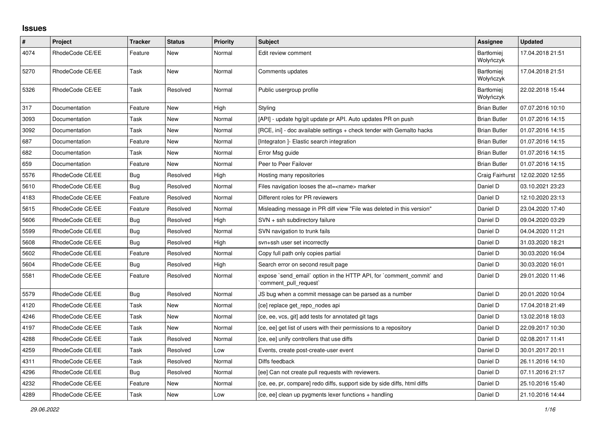## **Issues**

| $\vert$ # | Project         | Tracker    | <b>Status</b> | <b>Priority</b> | <b>Subject</b>                                                                                 | <b>Assignee</b>                | <b>Updated</b>   |
|-----------|-----------------|------------|---------------|-----------------|------------------------------------------------------------------------------------------------|--------------------------------|------------------|
| 4074      | RhodeCode CE/EE | Feature    | New           | Normal          | Edit review comment                                                                            | <b>Bartłomiei</b><br>Wołyńczyk | 17.04.2018 21:51 |
| 5270      | RhodeCode CE/EE | Task       | New           | Normal          | Comments updates                                                                               | <b>Bartłomiei</b><br>Wołyńczyk | 17.04.2018 21:51 |
| 5326      | RhodeCode CE/EE | Task       | Resolved      | Normal          | Public usergroup profile                                                                       | <b>Bartłomiei</b><br>Wołyńczyk | 22.02.2018 15:44 |
| 317       | Documentation   | Feature    | <b>New</b>    | High            | Styling                                                                                        | <b>Brian Butler</b>            | 07.07.2016 10:10 |
| 3093      | Documentation   | Task       | New           | Normal          | [API] - update hg/git update pr API. Auto updates PR on push                                   | <b>Brian Butler</b>            | 01.07.2016 14:15 |
| 3092      | Documentation   | Task       | New           | Normal          | [RCE, ini] - doc available settings + check tender with Gemalto hacks                          | <b>Brian Butler</b>            | 01.07.2016 14:15 |
| 687       | Documentation   | Feature    | New           | Normal          | [Integraton] - Elastic search integration                                                      | <b>Brian Butler</b>            | 01.07.2016 14:15 |
| 682       | Documentation   | Task       | New           | Normal          | Error Msg guide                                                                                | <b>Brian Butler</b>            | 01.07.2016 14:15 |
| 659       | Documentation   | Feature    | <b>New</b>    | Normal          | Peer to Peer Failover                                                                          | <b>Brian Butler</b>            | 01.07.2016 14:15 |
| 5576      | RhodeCode CE/EE | <b>Bug</b> | Resolved      | High            | Hosting many repositories                                                                      | Craig Fairhurst                | 12.02.2020 12:55 |
| 5610      | RhodeCode CE/EE | Bug        | Resolved      | Normal          | Files navigation looses the at= <name> marker</name>                                           | Daniel D                       | 03.10.2021 23:23 |
| 4183      | RhodeCode CE/EE | Feature    | Resolved      | Normal          | Different roles for PR reviewers                                                               | Daniel D                       | 12.10.2020 23:13 |
| 5615      | RhodeCode CE/EE | Feature    | Resolved      | Normal          | Misleading message in PR diff view "File was deleted in this version"                          | Daniel D                       | 23.04.2020 17:40 |
| 5606      | RhodeCode CE/EE | <b>Bug</b> | Resolved      | High            | $SVN + ssh$ subdirectory failure                                                               | Daniel D                       | 09.04.2020 03:29 |
| 5599      | RhodeCode CE/EE | Bug        | Resolved      | Normal          | SVN navigation to trunk fails                                                                  | Daniel D                       | 04.04.2020 11:21 |
| 5608      | RhodeCode CE/EE | Bug        | Resolved      | High            | svn+ssh user set incorrectly                                                                   | Daniel D                       | 31.03.2020 18:21 |
| 5602      | RhodeCode CE/EE | Feature    | Resolved      | Normal          | Copy full path only copies partial                                                             | Daniel D                       | 30.03.2020 16:04 |
| 5604      | RhodeCode CE/EE | Bug        | Resolved      | High            | Search error on second result page                                                             | Daniel D                       | 30.03.2020 16:01 |
| 5581      | RhodeCode CE/EE | Feature    | Resolved      | Normal          | expose `send email` option in the HTTP API, for `comment commit` and<br>`comment_pull_request` | Daniel D                       | 29.01.2020 11:46 |
| 5579      | RhodeCode CE/EE | Bug        | Resolved      | Normal          | JS bug when a commit message can be parsed as a number                                         | Daniel D                       | 20.01.2020 10:04 |
| 4120      | RhodeCode CE/EE | Task       | New           | Normal          | [ce] replace get repo nodes api                                                                | Daniel D                       | 17.04.2018 21:49 |
| 4246      | RhodeCode CE/EE | Task       | <b>New</b>    | Normal          | [ce, ee, vcs, git] add tests for annotated git tags                                            | Daniel D                       | 13.02.2018 18:03 |
| 4197      | RhodeCode CE/EE | Task       | New           | Normal          | [ce, ee] get list of users with their permissions to a repository                              | Daniel D                       | 22.09.2017 10:30 |
| 4288      | RhodeCode CE/EE | Task       | Resolved      | Normal          | [ce, ee] unify controllers that use diffs                                                      | Daniel D                       | 02.08.2017 11:41 |
| 4259      | RhodeCode CE/EE | Task       | Resolved      | Low             | Events, create post-create-user event                                                          | Daniel D                       | 30.01.2017 20:11 |
| 4311      | RhodeCode CE/EE | Task       | Resolved      | Normal          | Diffs feedback                                                                                 | Daniel D                       | 26.11.2016 14:10 |
| 4296      | RhodeCode CE/EE | Bug        | Resolved      | Normal          | [ee] Can not create pull requests with reviewers.                                              | Daniel D                       | 07.11.2016 21:17 |
| 4232      | RhodeCode CE/EE | Feature    | New           | Normal          | [ce, ee, pr, compare] redo diffs, support side by side diffs, html diffs                       | Daniel D                       | 25.10.2016 15:40 |
| 4289      | RhodeCode CE/EE | Task       | <b>New</b>    | Low             | [ce, ee] clean up pygments lexer functions + handling                                          | Daniel D                       | 21.10.2016 14:44 |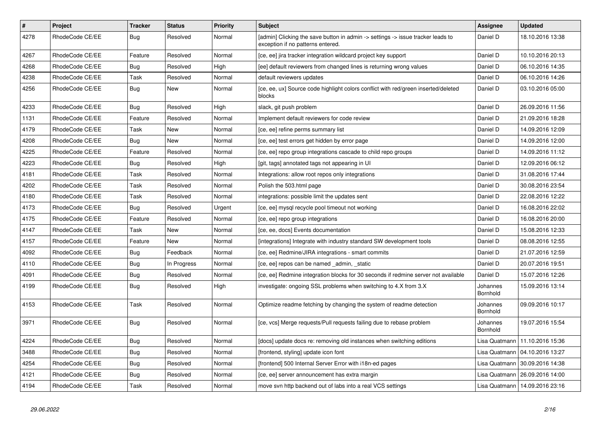| $\sharp$ | <b>Project</b>  | <b>Tracker</b> | <b>Status</b> | Priority | <b>Subject</b>                                                                                                       | <b>Assignee</b>             | <b>Updated</b>                   |
|----------|-----------------|----------------|---------------|----------|----------------------------------------------------------------------------------------------------------------------|-----------------------------|----------------------------------|
| 4278     | RhodeCode CE/EE | <b>Bug</b>     | Resolved      | Normal   | [admin] Clicking the save button in admin -> settings -> issue tracker leads to<br>exception if no patterns entered. | Daniel D                    | 18.10.2016 13:38                 |
| 4267     | RhodeCode CE/EE | Feature        | Resolved      | Normal   | [ce, ee] jira tracker integration wildcard project key support                                                       | Daniel D                    | 10.10.2016 20:13                 |
| 4268     | RhodeCode CE/EE | <b>Bug</b>     | Resolved      | High     | [ee] default reviewers from changed lines is returning wrong values                                                  | Daniel D                    | 06.10.2016 14:35                 |
| 4238     | RhodeCode CE/EE | Task           | Resolved      | Normal   | default reviewers updates                                                                                            | Daniel D                    | 06.10.2016 14:26                 |
| 4256     | RhodeCode CE/EE | <b>Bug</b>     | New           | Normal   | [ce, ee, ux] Source code highlight colors conflict with red/green inserted/deleted<br>blocks                         | Daniel D                    | 03.10.2016 05:00                 |
| 4233     | RhodeCode CE/EE | Bug            | Resolved      | High     | slack, git push problem                                                                                              | Daniel D                    | 26.09.2016 11:56                 |
| 1131     | RhodeCode CE/EE | Feature        | Resolved      | Normal   | Implement default reviewers for code review                                                                          | Daniel D                    | 21.09.2016 18:28                 |
| 4179     | RhodeCode CE/EE | Task           | New           | Normal   | [ce, ee] refine perms summary list                                                                                   | Daniel D                    | 14.09.2016 12:09                 |
| 4208     | RhodeCode CE/EE | <b>Bug</b>     | New           | Normal   | [ce, ee] test errors get hidden by error page                                                                        | Daniel D                    | 14.09.2016 12:00                 |
| 4225     | RhodeCode CE/EE | Feature        | Resolved      | Normal   | [ce, ee] repo group integrations cascade to child repo groups                                                        | Daniel D                    | 14.09.2016 11:12                 |
| 4223     | RhodeCode CE/EE | Bug            | Resolved      | High     | [git, tags] annotated tags not appearing in UI                                                                       | Daniel D                    | 12.09.2016 06:12                 |
| 4181     | RhodeCode CE/EE | Task           | Resolved      | Normal   | Integrations: allow root repos only integrations                                                                     | Daniel D                    | 31.08.2016 17:44                 |
| 4202     | RhodeCode CE/EE | Task           | Resolved      | Normal   | Polish the 503.html page                                                                                             | Daniel D                    | 30.08.2016 23:54                 |
| 4180     | RhodeCode CE/EE | Task           | Resolved      | Normal   | integrations: possible limit the updates sent                                                                        | Daniel D                    | 22.08.2016 12:22                 |
| 4173     | RhodeCode CE/EE | Bug            | Resolved      | Urgent   | [ce, ee] mysql recycle pool timeout not working                                                                      | Daniel D                    | 16.08.2016 22:02                 |
| 4175     | RhodeCode CE/EE | Feature        | Resolved      | Normal   | [ce, ee] repo group integrations                                                                                     | Daniel D                    | 16.08.2016 20:00                 |
| 4147     | RhodeCode CE/EE | Task           | New           | Normal   | [ce, ee, docs] Events documentation                                                                                  | Daniel D                    | 15.08.2016 12:33                 |
| 4157     | RhodeCode CE/EE | Feature        | <b>New</b>    | Normal   | [integrations] Integrate with industry standard SW development tools                                                 | Daniel D                    | 08.08.2016 12:55                 |
| 4092     | RhodeCode CE/EE | Bug            | Feedback      | Normal   | [ce, ee] Redmine/JIRA integrations - smart commits                                                                   | Daniel D                    | 21.07.2016 12:59                 |
| 4110     | RhodeCode CE/EE | Bug            | In Progress   | Normal   | [ce, ee] repos can be named admin, static                                                                            | Daniel D                    | 20.07.2016 19:51                 |
| 4091     | RhodeCode CE/EE | <b>Bug</b>     | Resolved      | Normal   | [ce, ee] Redmine integration blocks for 30 seconds if redmine server not available                                   | Daniel D                    | 15.07.2016 12:26                 |
| 4199     | RhodeCode CE/EE | <b>Bug</b>     | Resolved      | High     | investigate: ongoing SSL problems when switching to 4.X from 3.X                                                     | Johannes<br>Bornhold        | 15.09.2016 13:14                 |
| 4153     | RhodeCode CE/EE | Task           | Resolved      | Normal   | Optimize readme fetching by changing the system of readme detection                                                  | Johannes<br>Bornhold        | 09.09.2016 10:17                 |
| 3971     | RhodeCode CE/EE | Bug            | Resolved      | Normal   | [ce, vcs] Merge requests/Pull requests failing due to rebase problem                                                 | Johannes<br><b>Bornhold</b> | 19.07.2016 15:54                 |
| 4224     | RhodeCode CE/EE | <b>Bug</b>     | Resolved      | Normal   | [docs] update docs re: removing old instances when switching editions                                                | Lisa Quatmann               | 11.10.2016 15:36                 |
| 3488     | RhodeCode CE/EE | Bug            | Resolved      | Normal   | [frontend, styling] update icon font                                                                                 | Lisa Quatmann               | 04.10.2016 13:27                 |
| 4254     | RhodeCode CE/EE | Bug            | Resolved      | Normal   | [frontend] 500 Internal Server Error with i18n-ed pages                                                              | Lisa Quatmann               | 30.09.2016 14:38                 |
| 4121     | RhodeCode CE/EE | Bug            | Resolved      | Normal   | [ce, ee] server announcement has extra margin                                                                        |                             | Lisa Quatmann   26.09.2016 14:00 |
| 4194     | RhodeCode CE/EE | Task           | Resolved      | Normal   | move svn http backend out of labs into a real VCS settings                                                           |                             | Lisa Quatmann   14.09.2016 23:16 |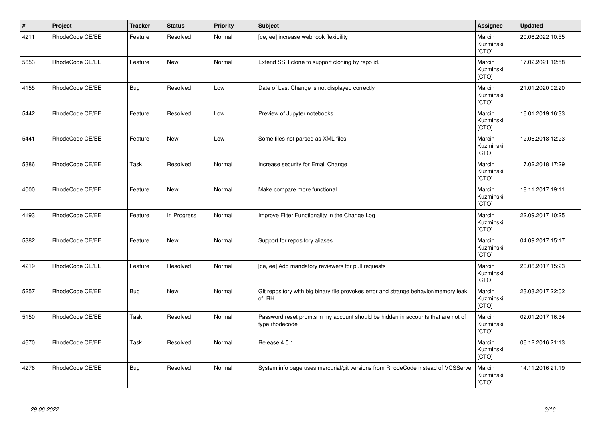| $\vert$ # | Project         | <b>Tracker</b> | <b>Status</b> | <b>Priority</b> | <b>Subject</b>                                                                                     | Assignee                     | <b>Updated</b>   |
|-----------|-----------------|----------------|---------------|-----------------|----------------------------------------------------------------------------------------------------|------------------------------|------------------|
| 4211      | RhodeCode CE/EE | Feature        | Resolved      | Normal          | [ce, ee] increase webhook flexibility                                                              | Marcin<br>Kuzminski<br>[CTO] | 20.06.2022 10:55 |
| 5653      | RhodeCode CE/EE | Feature        | <b>New</b>    | Normal          | Extend SSH clone to support cloning by repo id.                                                    | Marcin<br>Kuzminski<br>[CTO] | 17.02.2021 12:58 |
| 4155      | RhodeCode CE/EE | Bug            | Resolved      | Low             | Date of Last Change is not displayed correctly                                                     | Marcin<br>Kuzminski<br>[CTO] | 21.01.2020 02:20 |
| 5442      | RhodeCode CE/EE | Feature        | Resolved      | Low             | Preview of Jupyter notebooks                                                                       | Marcin<br>Kuzminski<br>[CTO] | 16.01.2019 16:33 |
| 5441      | RhodeCode CE/EE | Feature        | New           | Low             | Some files not parsed as XML files                                                                 | Marcin<br>Kuzminski<br>[CTO] | 12.06.2018 12:23 |
| 5386      | RhodeCode CE/EE | Task           | Resolved      | Normal          | Increase security for Email Change                                                                 | Marcin<br>Kuzminski<br>[CTO] | 17.02.2018 17:29 |
| 4000      | RhodeCode CE/EE | Feature        | New           | Normal          | Make compare more functional                                                                       | Marcin<br>Kuzminski<br>[CTO] | 18.11.2017 19:11 |
| 4193      | RhodeCode CE/EE | Feature        | In Progress   | Normal          | Improve Filter Functionality in the Change Log                                                     | Marcin<br>Kuzminski<br>[CTO] | 22.09.2017 10:25 |
| 5382      | RhodeCode CE/EE | Feature        | <b>New</b>    | Normal          | Support for repository aliases                                                                     | Marcin<br>Kuzminski<br>[CTO] | 04.09.2017 15:17 |
| 4219      | RhodeCode CE/EE | Feature        | Resolved      | Normal          | [ce, ee] Add mandatory reviewers for pull requests                                                 | Marcin<br>Kuzminski<br>[CTO] | 20.06.2017 15:23 |
| 5257      | RhodeCode CE/EE | Bug            | <b>New</b>    | Normal          | Git repository with big binary file provokes error and strange behavior/memory leak<br>of RH.      | Marcin<br>Kuzminski<br>[CTO] | 23.03.2017 22:02 |
| 5150      | RhodeCode CE/EE | Task           | Resolved      | Normal          | Password reset promts in my account should be hidden in accounts that are not of<br>type rhodecode | Marcin<br>Kuzminski<br>[CTO] | 02.01.2017 16:34 |
| 4670      | RhodeCode CE/EE | Task           | Resolved      | Normal          | Release 4.5.1                                                                                      | Marcin<br>Kuzminski<br>[CTO] | 06.12.2016 21:13 |
| 4276      | RhodeCode CE/EE | Bug            | Resolved      | Normal          | System info page uses mercurial/git versions from RhodeCode instead of VCSServer                   | Marcin<br>Kuzminski<br>[CTO] | 14.11.2016 21:19 |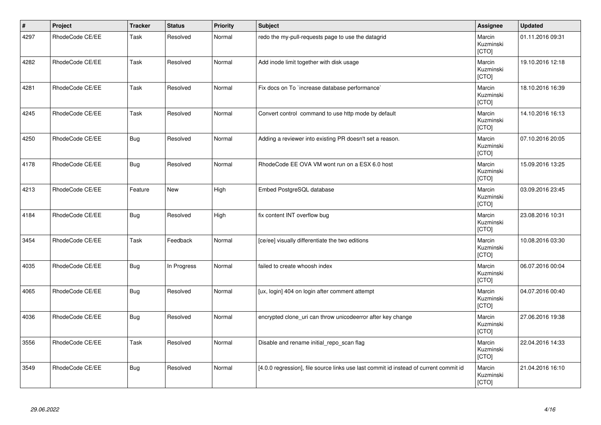| $\vert$ # | Project         | <b>Tracker</b> | <b>Status</b> | <b>Priority</b> | <b>Subject</b>                                                                        | Assignee                     | <b>Updated</b>   |
|-----------|-----------------|----------------|---------------|-----------------|---------------------------------------------------------------------------------------|------------------------------|------------------|
| 4297      | RhodeCode CE/EE | Task           | Resolved      | Normal          | redo the my-pull-requests page to use the datagrid                                    | Marcin<br>Kuzminski<br>[CTO] | 01.11.2016 09:31 |
| 4282      | RhodeCode CE/EE | Task           | Resolved      | Normal          | Add inode limit together with disk usage                                              | Marcin<br>Kuzminski<br>[CTO] | 19.10.2016 12:18 |
| 4281      | RhodeCode CE/EE | Task           | Resolved      | Normal          | Fix docs on To `increase database performance`                                        | Marcin<br>Kuzminski<br>[CTO] | 18.10.2016 16:39 |
| 4245      | RhodeCode CE/EE | Task           | Resolved      | Normal          | Convert control command to use http mode by default                                   | Marcin<br>Kuzminski<br>[CTO] | 14.10.2016 16:13 |
| 4250      | RhodeCode CE/EE | <b>Bug</b>     | Resolved      | Normal          | Adding a reviewer into existing PR doesn't set a reason.                              | Marcin<br>Kuzminski<br>[CTO] | 07.10.2016 20:05 |
| 4178      | RhodeCode CE/EE | <b>Bug</b>     | Resolved      | Normal          | RhodeCode EE OVA VM wont run on a ESX 6.0 host                                        | Marcin<br>Kuzminski<br>[CTO] | 15.09.2016 13:25 |
| 4213      | RhodeCode CE/EE | Feature        | <b>New</b>    | High            | Embed PostgreSQL database                                                             | Marcin<br>Kuzminski<br>[CTO] | 03.09.2016 23:45 |
| 4184      | RhodeCode CE/EE | Bug            | Resolved      | High            | fix content INT overflow bug                                                          | Marcin<br>Kuzminski<br>[CTO] | 23.08.2016 10:31 |
| 3454      | RhodeCode CE/EE | Task           | Feedback      | Normal          | [ce/ee] visually differentiate the two editions                                       | Marcin<br>Kuzminski<br>[CTO] | 10.08.2016 03:30 |
| 4035      | RhodeCode CE/EE | Bug            | In Progress   | Normal          | failed to create whoosh index                                                         | Marcin<br>Kuzminski<br>[CTO] | 06.07.2016 00:04 |
| 4065      | RhodeCode CE/EE | <b>Bug</b>     | Resolved      | Normal          | [ux, login] 404 on login after comment attempt                                        | Marcin<br>Kuzminski<br>[CTO] | 04.07.2016 00:40 |
| 4036      | RhodeCode CE/EE | <b>Bug</b>     | Resolved      | Normal          | encrypted clone_uri can throw unicodeerror after key change                           | Marcin<br>Kuzminski<br>[CTO] | 27.06.2016 19:38 |
| 3556      | RhodeCode CE/EE | Task           | Resolved      | Normal          | Disable and rename initial_repo_scan flag                                             | Marcin<br>Kuzminski<br>[CTO] | 22.04.2016 14:33 |
| 3549      | RhodeCode CE/EE | <b>Bug</b>     | Resolved      | Normal          | [4.0.0 regression], file source links use last commit id instead of current commit id | Marcin<br>Kuzminski<br>[CTO] | 21.04.2016 16:10 |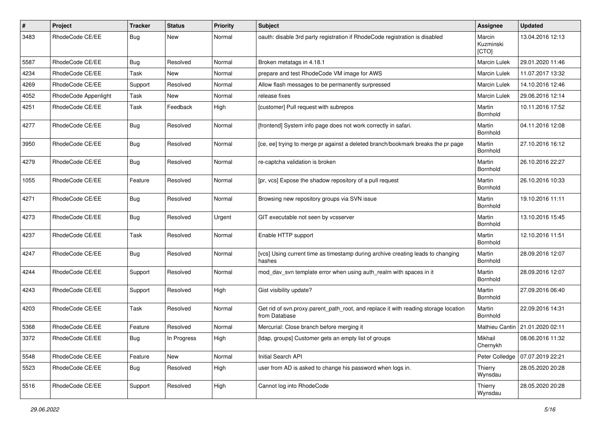| $\pmb{\#}$ | <b>Project</b>       | <b>Tracker</b> | <b>Status</b> | <b>Priority</b> | <b>Subject</b>                                                                                       | Assignee                     | <b>Updated</b>   |
|------------|----------------------|----------------|---------------|-----------------|------------------------------------------------------------------------------------------------------|------------------------------|------------------|
| 3483       | RhodeCode CE/EE      | <b>Bug</b>     | New           | Normal          | oauth: disable 3rd party registration if RhodeCode registration is disabled                          | Marcin<br>Kuzminski<br>[CTO] | 13.04.2016 12:13 |
| 5587       | RhodeCode CE/EE      | <b>Bug</b>     | Resolved      | Normal          | Broken metatags in 4.18.1                                                                            | <b>Marcin Lulek</b>          | 29.01.2020 11:46 |
| 4234       | RhodeCode CE/EE      | Task           | <b>New</b>    | Normal          | prepare and test RhodeCode VM image for AWS                                                          | Marcin Lulek                 | 11.07.2017 13:32 |
| 4269       | RhodeCode CE/EE      | Support        | Resolved      | Normal          | Allow flash messages to be permanently surpressed                                                    | Marcin Lulek                 | 14.10.2016 12:46 |
| 4052       | RhodeCode Appenlight | Task           | New           | Normal          | release fixes                                                                                        | <b>Marcin Lulek</b>          | 29.06.2016 12:14 |
| 4251       | RhodeCode CE/EE      | Task           | Feedback      | High            | [customer] Pull request with subrepos                                                                | Martin<br>Bornhold           | 10.11.2016 17:52 |
| 4277       | RhodeCode CE/EE      | <b>Bug</b>     | Resolved      | Normal          | [frontend] System info page does not work correctly in safari.                                       | Martin<br>Bornhold           | 04.11.2016 12:08 |
| 3950       | RhodeCode CE/EE      | <b>Bug</b>     | Resolved      | Normal          | [ce, ee] trying to merge pr against a deleted branch/bookmark breaks the pr page                     | Martin<br>Bornhold           | 27.10.2016 16:12 |
| 4279       | RhodeCode CE/EE      | <b>Bug</b>     | Resolved      | Normal          | re-captcha validation is broken                                                                      | Martin<br>Bornhold           | 26.10.2016 22:27 |
| 1055       | RhodeCode CE/EE      | Feature        | Resolved      | Normal          | [pr, vcs] Expose the shadow repository of a pull request                                             | Martin<br>Bornhold           | 26.10.2016 10:33 |
| 4271       | RhodeCode CE/EE      | <b>Bug</b>     | Resolved      | Normal          | Browsing new repository groups via SVN issue                                                         | Martin<br>Bornhold           | 19.10.2016 11:11 |
| 4273       | RhodeCode CE/EE      | <b>Bug</b>     | Resolved      | Urgent          | GIT executable not seen by vcsserver                                                                 | Martin<br>Bornhold           | 13.10.2016 15:45 |
| 4237       | RhodeCode CE/EE      | Task           | Resolved      | Normal          | Enable HTTP support                                                                                  | Martin<br>Bornhold           | 12.10.2016 11:51 |
| 4247       | RhodeCode CE/EE      | <b>Bug</b>     | Resolved      | Normal          | [vcs] Using current time as timestamp during archive creating leads to changing<br>hashes            | Martin<br>Bornhold           | 28.09.2016 12:07 |
| 4244       | RhodeCode CE/EE      | Support        | Resolved      | Normal          | mod day syn template error when using auth realm with spaces in it                                   | Martin<br>Bornhold           | 28.09.2016 12:07 |
| 4243       | RhodeCode CE/EE      | Support        | Resolved      | High            | Gist visibility update?                                                                              | Martin<br>Bornhold           | 27.09.2016 06:40 |
| 4203       | RhodeCode CE/EE      | Task           | Resolved      | Normal          | Get rid of svn.proxy.parent_path_root, and replace it with reading storage location<br>from Database | Martin<br>Bornhold           | 22.09.2016 14:31 |
| 5368       | RhodeCode CE/EE      | Feature        | Resolved      | Normal          | Mercurial: Close branch before merging it                                                            | Mathieu Cantin               | 21.01.2020 02:11 |
| 3372       | RhodeCode CE/EE      | Bug            | In Progress   | High            | [Idap, groups] Customer gets an empty list of groups                                                 | Mikhail<br>Chernykh          | 08.06.2016 11:32 |
| 5548       | RhodeCode CE/EE      | Feature        | New           | Normal          | Initial Search API                                                                                   | Peter Colledge               | 07.07.2019 22:21 |
| 5523       | RhodeCode CE/EE      | <b>Bug</b>     | Resolved      | High            | user from AD is asked to change his password when logs in.                                           | Thierry<br>Wynsdau           | 28.05.2020 20:28 |
| 5516       | RhodeCode CE/EE      | Support        | Resolved      | High            | Cannot log into RhodeCode                                                                            | Thierry<br>Wynsdau           | 28.05.2020 20:28 |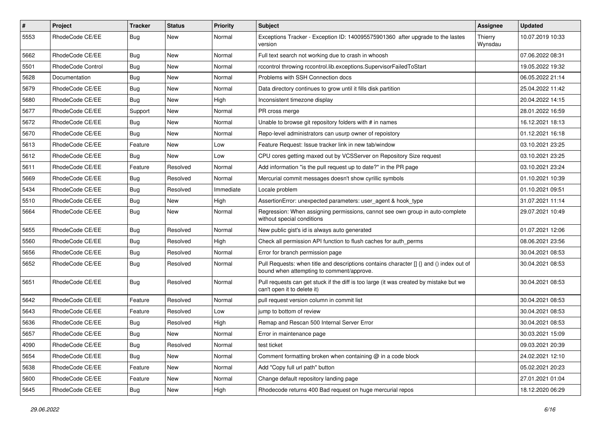| $\sharp$ | Project                  | <b>Tracker</b> | <b>Status</b> | Priority  | <b>Subject</b>                                                                                                                       | <b>Assignee</b>    | <b>Updated</b>   |
|----------|--------------------------|----------------|---------------|-----------|--------------------------------------------------------------------------------------------------------------------------------------|--------------------|------------------|
| 5553     | RhodeCode CE/EE          | Bug            | New           | Normal    | Exceptions Tracker - Exception ID: 140095575901360 after upgrade to the lastes<br>version                                            | Thierry<br>Wynsdau | 10.07.2019 10:33 |
| 5662     | RhodeCode CE/EE          | Bug            | <b>New</b>    | Normal    | Full text search not working due to crash in whoosh                                                                                  |                    | 07.06.2022 08:31 |
| 5501     | <b>RhodeCode Control</b> | Bug            | New           | Normal    | rccontrol throwing rccontrol.lib.exceptions.SupervisorFailedToStart                                                                  |                    | 19.05.2022 19:32 |
| 5628     | Documentation            | Bug            | <b>New</b>    | Normal    | Problems with SSH Connection docs                                                                                                    |                    | 06.05.2022 21:14 |
| 5679     | RhodeCode CE/EE          | Bug            | New           | Normal    | Data directory continues to grow until it fills disk partition                                                                       |                    | 25.04.2022 11:42 |
| 5680     | RhodeCode CE/EE          | Bug            | <b>New</b>    | High      | Inconsistent timezone display                                                                                                        |                    | 20.04.2022 14:15 |
| 5677     | RhodeCode CE/EE          | Support        | <b>New</b>    | Normal    | PR cross merge                                                                                                                       |                    | 28.01.2022 16:59 |
| 5672     | RhodeCode CE/EE          | Bug            | New           | Normal    | Unable to browse git repository folders with # in names                                                                              |                    | 16.12.2021 18:13 |
| 5670     | RhodeCode CE/EE          | Bug            | <b>New</b>    | Normal    | Repo-level administrators can usurp owner of repoistory                                                                              |                    | 01.12.2021 16:18 |
| 5613     | RhodeCode CE/EE          | Feature        | New           | Low       | Feature Request: Issue tracker link in new tab/window                                                                                |                    | 03.10.2021 23:25 |
| 5612     | RhodeCode CE/EE          | Bug            | <b>New</b>    | Low       | CPU cores getting maxed out by VCSServer on Repository Size request                                                                  |                    | 03.10.2021 23:25 |
| 5611     | RhodeCode CE/EE          | Feature        | Resolved      | Normal    | Add information "is the pull request up to date?" in the PR page                                                                     |                    | 03.10.2021 23:24 |
| 5669     | RhodeCode CE/EE          | <b>Bug</b>     | Resolved      | Normal    | Mercurial commit messages doesn't show cyrillic symbols                                                                              |                    | 01.10.2021 10:39 |
| 5434     | RhodeCode CE/EE          | Bug            | Resolved      | Immediate | Locale problem                                                                                                                       |                    | 01.10.2021 09:51 |
| 5510     | RhodeCode CE/EE          | Bug            | New           | High      | AssertionError: unexpected parameters: user agent & hook type                                                                        |                    | 31.07.2021 11:14 |
| 5664     | RhodeCode CE/EE          | Bug            | New           | Normal    | Regression: When assigning permissions, cannot see own group in auto-complete<br>without special conditions                          |                    | 29.07.2021 10:49 |
| 5655     | RhodeCode CE/EE          | Bug            | Resolved      | Normal    | New public gist's id is always auto generated                                                                                        |                    | 01.07.2021 12:06 |
| 5560     | RhodeCode CE/EE          | Bug            | Resolved      | High      | Check all permission API function to flush caches for auth perms                                                                     |                    | 08.06.2021 23:56 |
| 5656     | RhodeCode CE/EE          | Bug            | Resolved      | Normal    | Error for branch permission page                                                                                                     |                    | 30.04.2021 08:53 |
| 5652     | RhodeCode CE/EE          | <b>Bug</b>     | Resolved      | Normal    | Pull Requests: when title and descriptions contains character [] {} and () index out of<br>bound when attempting to comment/approve. |                    | 30.04.2021 08:53 |
| 5651     | RhodeCode CE/EE          | <b>Bug</b>     | Resolved      | Normal    | Pull requests can get stuck if the diff is too large (it was created by mistake but we<br>can't open it to delete it)                |                    | 30.04.2021 08:53 |
| 5642     | RhodeCode CE/EE          | Feature        | Resolved      | Normal    | pull request version column in commit list                                                                                           |                    | 30.04.2021 08:53 |
| 5643     | RhodeCode CE/EE          | Feature        | Resolved      | Low       | jump to bottom of review                                                                                                             |                    | 30.04.2021 08:53 |
| 5636     | RhodeCode CE/EE          | Bug            | Resolved      | High      | Remap and Rescan 500 Internal Server Error                                                                                           |                    | 30.04.2021 08:53 |
| 5657     | RhodeCode CE/EE          | Bug            | <b>New</b>    | Normal    | Error in maintenance page                                                                                                            |                    | 30.03.2021 15:09 |
| 4090     | RhodeCode CE/EE          | Bug            | Resolved      | Normal    | test ticket                                                                                                                          |                    | 09.03.2021 20:39 |
| 5654     | RhodeCode CE/EE          | <b>Bug</b>     | New           | Normal    | Comment formatting broken when containing @ in a code block                                                                          |                    | 24.02.2021 12:10 |
| 5638     | RhodeCode CE/EE          | Feature        | New           | Normal    | Add "Copy full url path" button                                                                                                      |                    | 05.02.2021 20:23 |
| 5600     | RhodeCode CE/EE          | Feature        | New           | Normal    | Change default repository landing page                                                                                               |                    | 27.01.2021 01:04 |
| 5645     | RhodeCode CE/EE          | <b>Bug</b>     | New           | High      | Rhodecode returns 400 Bad request on huge mercurial repos                                                                            |                    | 18.12.2020 06:29 |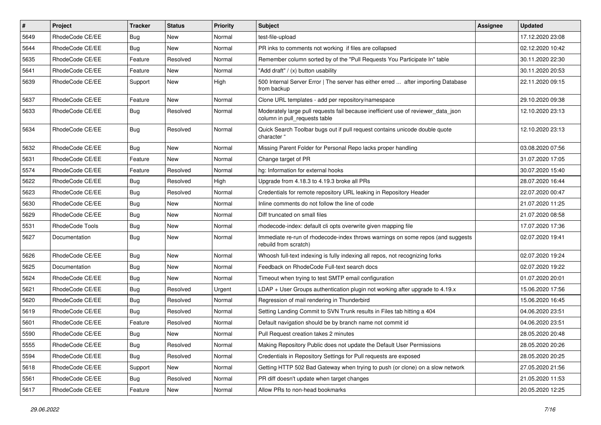| $\sharp$ | Project         | <b>Tracker</b> | <b>Status</b> | <b>Priority</b> | <b>Subject</b>                                                                                                     | Assignee | <b>Updated</b>   |
|----------|-----------------|----------------|---------------|-----------------|--------------------------------------------------------------------------------------------------------------------|----------|------------------|
| 5649     | RhodeCode CE/EE | <b>Bug</b>     | New           | Normal          | test-file-upload                                                                                                   |          | 17.12.2020 23:08 |
| 5644     | RhodeCode CE/EE | Bug            | <b>New</b>    | Normal          | PR inks to comments not working if files are collapsed                                                             |          | 02.12.2020 10:42 |
| 5635     | RhodeCode CE/EE | Feature        | Resolved      | Normal          | Remember column sorted by of the "Pull Requests You Participate In" table                                          |          | 30.11.2020 22:30 |
| 5641     | RhodeCode CE/EE | Feature        | New           | Normal          | "Add draft" / (x) button usability                                                                                 |          | 30.11.2020 20:53 |
| 5639     | RhodeCode CE/EE | Support        | <b>New</b>    | High            | 500 Internal Server Error   The server has either erred  after importing Database<br>from backup                   |          | 22.11.2020 09:15 |
| 5637     | RhodeCode CE/EE | Feature        | <b>New</b>    | Normal          | Clone URL templates - add per repository/namespace                                                                 |          | 29.10.2020 09:38 |
| 5633     | RhodeCode CE/EE | <b>Bug</b>     | Resolved      | Normal          | Moderately large pull requests fail because inefficient use of reviewer_data_json<br>column in pull requests table |          | 12.10.2020 23:13 |
| 5634     | RhodeCode CE/EE | Bug            | Resolved      | Normal          | Quick Search Toolbar bugs out if pull request contains unicode double quote<br>character "                         |          | 12.10.2020 23:13 |
| 5632     | RhodeCode CE/EE | <b>Bug</b>     | New           | Normal          | Missing Parent Folder for Personal Repo lacks proper handling                                                      |          | 03.08.2020 07:56 |
| 5631     | RhodeCode CE/EE | Feature        | <b>New</b>    | Normal          | Change target of PR                                                                                                |          | 31.07.2020 17:05 |
| 5574     | RhodeCode CE/EE | Feature        | Resolved      | Normal          | hg: Information for external hooks                                                                                 |          | 30.07.2020 15:40 |
| 5622     | RhodeCode CE/EE | Bug            | Resolved      | High            | Upgrade from 4.18.3 to 4.19.3 broke all PRs                                                                        |          | 28.07.2020 16:44 |
| 5623     | RhodeCode CE/EE | Bug            | Resolved      | Normal          | Credentials for remote repository URL leaking in Repository Header                                                 |          | 22.07.2020 00:47 |
| 5630     | RhodeCode CE/EE | Bug            | New           | Normal          | Inline comments do not follow the line of code                                                                     |          | 21.07.2020 11:25 |
| 5629     | RhodeCode CE/EE | <b>Bug</b>     | New           | Normal          | Diff truncated on small files                                                                                      |          | 21.07.2020 08:58 |
| 5531     | RhodeCode Tools | <b>Bug</b>     | New           | Normal          | rhodecode-index: default cli opts overwrite given mapping file                                                     |          | 17.07.2020 17:36 |
| 5627     | Documentation   | Bug            | New           | Normal          | Immediate re-run of rhodecode-index throws warnings on some repos (and suggests<br>rebuild from scratch)           |          | 02.07.2020 19:41 |
| 5626     | RhodeCode CE/EE | <b>Bug</b>     | New           | Normal          | Whoosh full-text indexing is fully indexing all repos, not recognizing forks                                       |          | 02.07.2020 19:24 |
| 5625     | Documentation   | <b>Bug</b>     | New           | Normal          | Feedback on RhodeCode Full-text search docs                                                                        |          | 02.07.2020 19:22 |
| 5624     | RhodeCode CE/EE | <b>Bug</b>     | <b>New</b>    | Normal          | Timeout when trying to test SMTP email configuration                                                               |          | 01.07.2020 20:01 |
| 5621     | RhodeCode CE/EE | <b>Bug</b>     | Resolved      | Urgent          | $LDAP + User Groups$ authentication plugin not working after upgrade to 4.19. $x$                                  |          | 15.06.2020 17:56 |
| 5620     | RhodeCode CE/EE | <b>Bug</b>     | Resolved      | Normal          | Regression of mail rendering in Thunderbird                                                                        |          | 15.06.2020 16:45 |
| 5619     | RhodeCode CE/EE | <b>Bug</b>     | Resolved      | Normal          | Setting Landing Commit to SVN Trunk results in Files tab hitting a 404                                             |          | 04.06.2020 23:51 |
| 5601     | RhodeCode CE/EE | Feature        | Resolved      | Normal          | Default navigation should be by branch name not commit id                                                          |          | 04.06.2020 23:51 |
| 5590     | RhodeCode CE/EE | Bug            | New           | Normal          | Pull Request creation takes 2 minutes                                                                              |          | 28.05.2020 20:48 |
| 5555     | RhodeCode CE/EE | <b>Bug</b>     | Resolved      | Normal          | Making Repository Public does not update the Default User Permissions                                              |          | 28.05.2020 20:26 |
| 5594     | RhodeCode CE/EE | Bug            | Resolved      | Normal          | Credentials in Repository Settings for Pull requests are exposed                                                   |          | 28.05.2020 20:25 |
| 5618     | RhodeCode CE/EE | Support        | New           | Normal          | Getting HTTP 502 Bad Gateway when trying to push (or clone) on a slow network                                      |          | 27.05.2020 21:56 |
| 5561     | RhodeCode CE/EE | <b>Bug</b>     | Resolved      | Normal          | PR diff doesn't update when target changes                                                                         |          | 21.05.2020 11:53 |
| 5617     | RhodeCode CE/EE | Feature        | New           | Normal          | Allow PRs to non-head bookmarks                                                                                    |          | 20.05.2020 12:25 |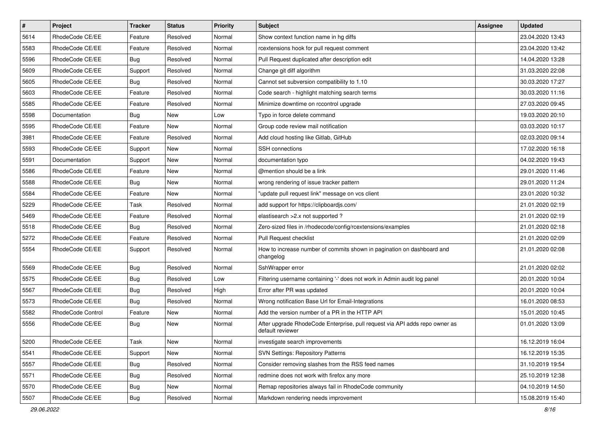| $\vert$ # | Project           | <b>Tracker</b> | <b>Status</b> | <b>Priority</b> | Subject                                                                                         | <b>Assignee</b> | <b>Updated</b>   |
|-----------|-------------------|----------------|---------------|-----------------|-------------------------------------------------------------------------------------------------|-----------------|------------------|
| 5614      | RhodeCode CE/EE   | Feature        | Resolved      | Normal          | Show context function name in hg diffs                                                          |                 | 23.04.2020 13:43 |
| 5583      | RhodeCode CE/EE   | Feature        | Resolved      | Normal          | rcextensions hook for pull request comment                                                      |                 | 23.04.2020 13:42 |
| 5596      | RhodeCode CE/EE   | Bug            | Resolved      | Normal          | Pull Request duplicated after description edit                                                  |                 | 14.04.2020 13:28 |
| 5609      | RhodeCode CE/EE   | Support        | Resolved      | Normal          | Change git diff algorithm                                                                       |                 | 31.03.2020 22:08 |
| 5605      | RhodeCode CE/EE   | <b>Bug</b>     | Resolved      | Normal          | Cannot set subversion compatibility to 1.10                                                     |                 | 30.03.2020 17:27 |
| 5603      | RhodeCode CE/EE   | Feature        | Resolved      | Normal          | Code search - highlight matching search terms                                                   |                 | 30.03.2020 11:16 |
| 5585      | RhodeCode CE/EE   | Feature        | Resolved      | Normal          | Minimize downtime on rccontrol upgrade                                                          |                 | 27.03.2020 09:45 |
| 5598      | Documentation     | Bug            | New           | Low             | Typo in force delete command                                                                    |                 | 19.03.2020 20:10 |
| 5595      | RhodeCode CE/EE   | Feature        | <b>New</b>    | Normal          | Group code review mail notification                                                             |                 | 03.03.2020 10:17 |
| 3981      | RhodeCode CE/EE   | Feature        | Resolved      | Normal          | Add cloud hosting like Gitlab, GitHub                                                           |                 | 02.03.2020 09:14 |
| 5593      | RhodeCode CE/EE   | Support        | New           | Normal          | <b>SSH</b> connections                                                                          |                 | 17.02.2020 16:18 |
| 5591      | Documentation     | Support        | New           | Normal          | documentation typo                                                                              |                 | 04.02.2020 19:43 |
| 5586      | RhodeCode CE/EE   | Feature        | <b>New</b>    | Normal          | @mention should be a link                                                                       |                 | 29.01.2020 11:46 |
| 5588      | RhodeCode CE/EE   | <b>Bug</b>     | New           | Normal          | wrong rendering of issue tracker pattern                                                        |                 | 29.01.2020 11:24 |
| 5584      | RhodeCode CE/EE   | Feature        | <b>New</b>    | Normal          | "update pull request link" message on vcs client                                                |                 | 23.01.2020 10:32 |
| 5229      | RhodeCode CE/EE   | Task           | Resolved      | Normal          | add support for https://clipboardjs.com/                                                        |                 | 21.01.2020 02:19 |
| 5469      | RhodeCode CE/EE   | Feature        | Resolved      | Normal          | elastisearch > 2.x not supported?                                                               |                 | 21.01.2020 02:19 |
| 5518      | RhodeCode CE/EE   | <b>Bug</b>     | Resolved      | Normal          | Zero-sized files in /rhodecode/config/rcextensions/examples                                     |                 | 21.01.2020 02:18 |
| 5272      | RhodeCode CE/EE   | Feature        | Resolved      | Normal          | Pull Request checklist                                                                          |                 | 21.01.2020 02:09 |
| 5554      | RhodeCode CE/EE   | Support        | Resolved      | Normal          | How to increase number of commits shown in pagination on dashboard and<br>changelog             |                 | 21.01.2020 02:08 |
| 5569      | RhodeCode CE/EE   | <b>Bug</b>     | Resolved      | Normal          | SshWrapper error                                                                                |                 | 21.01.2020 02:02 |
| 5575      | RhodeCode CE/EE   | <b>Bug</b>     | Resolved      | Low             | Filtering username containing '-' does not work in Admin audit log panel                        |                 | 20.01.2020 10:04 |
| 5567      | RhodeCode CE/EE   | <b>Bug</b>     | Resolved      | High            | Error after PR was updated                                                                      |                 | 20.01.2020 10:04 |
| 5573      | RhodeCode CE/EE   | <b>Bug</b>     | Resolved      | Normal          | Wrong notification Base Url for Email-Integrations                                              |                 | 16.01.2020 08:53 |
| 5582      | RhodeCode Control | Feature        | New           | Normal          | Add the version number of a PR in the HTTP API                                                  |                 | 15.01.2020 10:45 |
| 5556      | RhodeCode CE/EE   | Bug            | New           | Normal          | After upgrade RhodeCode Enterprise, pull request via API adds repo owner as<br>default reviewer |                 | 01.01.2020 13:09 |
| 5200      | RhodeCode CE/EE   | Task           | New           | Normal          | investigate search improvements                                                                 |                 | 16.12.2019 16:04 |
| 5541      | RhodeCode CE/EE   | Support        | New           | Normal          | <b>SVN Settings: Repository Patterns</b>                                                        |                 | 16.12.2019 15:35 |
| 5557      | RhodeCode CE/EE   | <b>Bug</b>     | Resolved      | Normal          | Consider removing slashes from the RSS feed names                                               |                 | 31.10.2019 19:54 |
| 5571      | RhodeCode CE/EE   | <b>Bug</b>     | Resolved      | Normal          | redmine does not work with firefox any more                                                     |                 | 25.10.2019 12:38 |
| 5570      | RhodeCode CE/EE   | <b>Bug</b>     | New           | Normal          | Remap repositories always fail in RhodeCode community                                           |                 | 04.10.2019 14:50 |
| 5507      | RhodeCode CE/EE   | <b>Bug</b>     | Resolved      | Normal          | Markdown rendering needs improvement                                                            |                 | 15.08.2019 15:40 |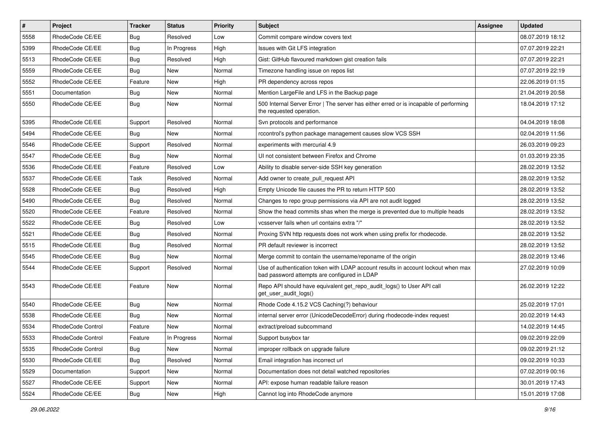| $\pmb{\#}$ | Project           | <b>Tracker</b> | <b>Status</b> | <b>Priority</b> | <b>Subject</b>                                                                                                                    | <b>Assignee</b> | <b>Updated</b>   |
|------------|-------------------|----------------|---------------|-----------------|-----------------------------------------------------------------------------------------------------------------------------------|-----------------|------------------|
| 5558       | RhodeCode CE/EE   | Bug            | Resolved      | Low             | Commit compare window covers text                                                                                                 |                 | 08.07.2019 18:12 |
| 5399       | RhodeCode CE/EE   | Bug            | In Progress   | High            | Issues with Git LFS integration                                                                                                   |                 | 07.07.2019 22:21 |
| 5513       | RhodeCode CE/EE   | Bug            | Resolved      | High            | Gist: GitHub flavoured markdown gist creation fails                                                                               |                 | 07.07.2019 22:21 |
| 5559       | RhodeCode CE/EE   | Bug            | New           | Normal          | Timezone handling issue on repos list                                                                                             |                 | 07.07.2019 22:19 |
| 5552       | RhodeCode CE/EE   | Feature        | <b>New</b>    | High            | PR dependency across repos                                                                                                        |                 | 22.06.2019 01:15 |
| 5551       | Documentation     | Bug            | New           | Normal          | Mention LargeFile and LFS in the Backup page                                                                                      |                 | 21.04.2019 20:58 |
| 5550       | RhodeCode CE/EE   | Bug            | New           | Normal          | 500 Internal Server Error   The server has either erred or is incapable of performing<br>the requested operation.                 |                 | 18.04.2019 17:12 |
| 5395       | RhodeCode CE/EE   | Support        | Resolved      | Normal          | Svn protocols and performance                                                                                                     |                 | 04.04.2019 18:08 |
| 5494       | RhodeCode CE/EE   | Bug            | <b>New</b>    | Normal          | rccontrol's python package management causes slow VCS SSH                                                                         |                 | 02.04.2019 11:56 |
| 5546       | RhodeCode CE/EE   | Support        | Resolved      | Normal          | experiments with mercurial 4.9                                                                                                    |                 | 26.03.2019 09:23 |
| 5547       | RhodeCode CE/EE   | Bug            | <b>New</b>    | Normal          | UI not consistent between Firefox and Chrome                                                                                      |                 | 01.03.2019 23:35 |
| 5536       | RhodeCode CE/EE   | Feature        | Resolved      | Low             | Ability to disable server-side SSH key generation                                                                                 |                 | 28.02.2019 13:52 |
| 5537       | RhodeCode CE/EE   | Task           | Resolved      | Normal          | Add owner to create pull request API                                                                                              |                 | 28.02.2019 13:52 |
| 5528       | RhodeCode CE/EE   | Bug            | Resolved      | High            | Empty Unicode file causes the PR to return HTTP 500                                                                               |                 | 28.02.2019 13:52 |
| 5490       | RhodeCode CE/EE   | Bug            | Resolved      | Normal          | Changes to repo group permissions via API are not audit logged                                                                    |                 | 28.02.2019 13:52 |
| 5520       | RhodeCode CE/EE   | Feature        | Resolved      | Normal          | Show the head commits shas when the merge is prevented due to multiple heads                                                      |                 | 28.02.2019 13:52 |
| 5522       | RhodeCode CE/EE   | Bug            | Resolved      | Low             | vcsserver fails when url contains extra "/"                                                                                       |                 | 28.02.2019 13:52 |
| 5521       | RhodeCode CE/EE   | Bug            | Resolved      | Normal          | Proxing SVN http requests does not work when using prefix for rhodecode.                                                          |                 | 28.02.2019 13:52 |
| 5515       | RhodeCode CE/EE   | <b>Bug</b>     | Resolved      | Normal          | PR default reviewer is incorrect                                                                                                  |                 | 28.02.2019 13:52 |
| 5545       | RhodeCode CE/EE   | Bug            | <b>New</b>    | Normal          | Merge commit to contain the username/reponame of the origin                                                                       |                 | 28.02.2019 13:46 |
| 5544       | RhodeCode CE/EE   | Support        | Resolved      | Normal          | Use of authentication token with LDAP account results in account lockout when max<br>bad password attempts are configured in LDAP |                 | 27.02.2019 10:09 |
| 5543       | RhodeCode CE/EE   | Feature        | New           | Normal          | Repo API should have equivalent get_repo_audit_logs() to User API call<br>get_user_audit_logs()                                   |                 | 26.02.2019 12:22 |
| 5540       | RhodeCode CE/EE   | Bug            | <b>New</b>    | Normal          | Rhode Code 4.15.2 VCS Caching(?) behaviour                                                                                        |                 | 25.02.2019 17:01 |
| 5538       | RhodeCode CE/EE   | Bug            | New           | Normal          | internal server error (UnicodeDecodeError) during rhodecode-index request                                                         |                 | 20.02.2019 14:43 |
| 5534       | RhodeCode Control | Feature        | New           | Normal          | extract/preload subcommand                                                                                                        |                 | 14.02.2019 14:45 |
| 5533       | RhodeCode Control | Feature        | In Progress   | Normal          | Support busybox tar                                                                                                               |                 | 09.02.2019 22:09 |
| 5535       | RhodeCode Control | Bug            | New           | Normal          | improper rollback on upgrade failure                                                                                              |                 | 09.02.2019 21:12 |
| 5530       | RhodeCode CE/EE   | Bug            | Resolved      | Normal          | Email integration has incorrect url                                                                                               |                 | 09.02.2019 10:33 |
| 5529       | Documentation     | Support        | New           | Normal          | Documentation does not detail watched repositories                                                                                |                 | 07.02.2019 00:16 |
| 5527       | RhodeCode CE/EE   | Support        | New           | Normal          | API: expose human readable failure reason                                                                                         |                 | 30.01.2019 17:43 |
| 5524       | RhodeCode CE/EE   | Bug            | New           | High            | Cannot log into RhodeCode anymore                                                                                                 |                 | 15.01.2019 17:08 |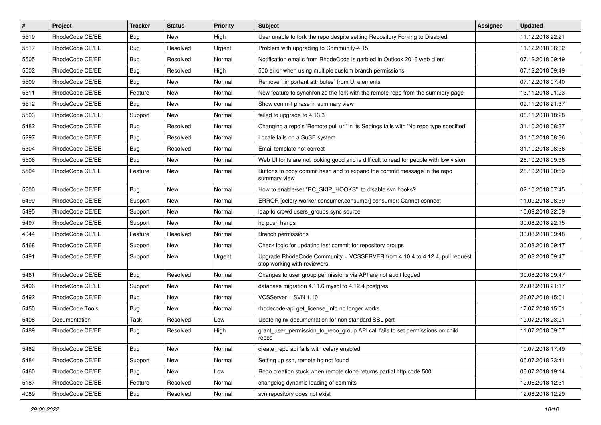| $\vert$ # | Project         | <b>Tracker</b> | <b>Status</b> | <b>Priority</b> | <b>Subject</b>                                                                                             | <b>Assignee</b> | <b>Updated</b>   |
|-----------|-----------------|----------------|---------------|-----------------|------------------------------------------------------------------------------------------------------------|-----------------|------------------|
| 5519      | RhodeCode CE/EE | <b>Bug</b>     | New           | High            | User unable to fork the repo despite setting Repository Forking to Disabled                                |                 | 11.12.2018 22:21 |
| 5517      | RhodeCode CE/EE | <b>Bug</b>     | Resolved      | Urgent          | Problem with upgrading to Community-4.15                                                                   |                 | 11.12.2018 06:32 |
| 5505      | RhodeCode CE/EE | <b>Bug</b>     | Resolved      | Normal          | Notification emails from RhodeCode is garbled in Outlook 2016 web client                                   |                 | 07.12.2018 09:49 |
| 5502      | RhodeCode CE/EE | <b>Bug</b>     | Resolved      | High            | 500 error when using multiple custom branch permissions                                                    |                 | 07.12.2018 09:49 |
| 5509      | RhodeCode CE/EE | <b>Bug</b>     | New           | Normal          | Remove `limportant attributes` from UI elements                                                            |                 | 07.12.2018 07:40 |
| 5511      | RhodeCode CE/EE | Feature        | New           | Normal          | New feature to synchronize the fork with the remote repo from the summary page                             |                 | 13.11.2018 01:23 |
| 5512      | RhodeCode CE/EE | Bug            | New           | Normal          | Show commit phase in summary view                                                                          |                 | 09.11.2018 21:37 |
| 5503      | RhodeCode CE/EE | Support        | New           | Normal          | failed to upgrade to 4.13.3                                                                                |                 | 06.11.2018 18:28 |
| 5482      | RhodeCode CE/EE | <b>Bug</b>     | Resolved      | Normal          | Changing a repo's 'Remote pull uri' in its Settings fails with 'No repo type specified'                    |                 | 31.10.2018 08:37 |
| 5297      | RhodeCode CE/EE | Bug            | Resolved      | Normal          | Locale fails on a SuSE system                                                                              |                 | 31.10.2018 08:36 |
| 5304      | RhodeCode CE/EE | <b>Bug</b>     | Resolved      | Normal          | Email template not correct                                                                                 |                 | 31.10.2018 08:36 |
| 5506      | RhodeCode CE/EE | Bug            | New           | Normal          | Web UI fonts are not looking good and is difficult to read for people with low vision                      |                 | 26.10.2018 09:38 |
| 5504      | RhodeCode CE/EE | Feature        | <b>New</b>    | Normal          | Buttons to copy commit hash and to expand the commit message in the repo<br>summary view                   |                 | 26.10.2018 00:59 |
| 5500      | RhodeCode CE/EE | Bug            | <b>New</b>    | Normal          | How to enable/set "RC_SKIP_HOOKS" to disable svn hooks?                                                    |                 | 02.10.2018 07:45 |
| 5499      | RhodeCode CE/EE | Support        | New           | Normal          | ERROR [celery.worker.consumer.consumer] consumer: Cannot connect                                           |                 | 11.09.2018 08:39 |
| 5495      | RhodeCode CE/EE | Support        | New           | Normal          | Idap to crowd users_groups sync source                                                                     |                 | 10.09.2018 22:09 |
| 5497      | RhodeCode CE/EE | Support        | New           | Normal          | hg push hangs                                                                                              |                 | 30.08.2018 22:15 |
| 4044      | RhodeCode CE/EE | Feature        | Resolved      | Normal          | <b>Branch permissions</b>                                                                                  |                 | 30.08.2018 09:48 |
| 5468      | RhodeCode CE/EE | Support        | New           | Normal          | Check logic for updating last commit for repository groups                                                 |                 | 30.08.2018 09:47 |
| 5491      | RhodeCode CE/EE | Support        | New           | Urgent          | Upgrade RhodeCode Community + VCSSERVER from 4.10.4 to 4.12.4, pull request<br>stop working with reviewers |                 | 30.08.2018 09:47 |
| 5461      | RhodeCode CE/EE | Bug            | Resolved      | Normal          | Changes to user group permissions via API are not audit logged                                             |                 | 30.08.2018 09:47 |
| 5496      | RhodeCode CE/EE | Support        | New           | Normal          | database migration 4.11.6 mysql to 4.12.4 postgres                                                         |                 | 27.08.2018 21:17 |
| 5492      | RhodeCode CE/EE | <b>Bug</b>     | New           | Normal          | VCSServer + SVN 1.10                                                                                       |                 | 26.07.2018 15:01 |
| 5450      | RhodeCode Tools | Bug            | New           | Normal          | rhodecode-api get_license_info no longer works                                                             |                 | 17.07.2018 15:01 |
| 5408      | Documentation   | Task           | Resolved      | Low             | Upate nginx documentation for non standard SSL port                                                        |                 | 12.07.2018 23:21 |
| 5489      | RhodeCode CE/EE | Bug            | Resolved      | High            | grant_user_permission_to_repo_group API call fails to set permissions on child<br>repos                    |                 | 11.07.2018 09:57 |
| 5462      | RhodeCode CE/EE | Bug            | New           | Normal          | create repo api fails with celery enabled                                                                  |                 | 10.07.2018 17:49 |
| 5484      | RhodeCode CE/EE | Support        | New           | Normal          | Setting up ssh, remote hg not found                                                                        |                 | 06.07.2018 23:41 |
| 5460      | RhodeCode CE/EE | <b>Bug</b>     | New           | Low             | Repo creation stuck when remote clone returns partial http code 500                                        |                 | 06.07.2018 19:14 |
| 5187      | RhodeCode CE/EE | Feature        | Resolved      | Normal          | changelog dynamic loading of commits                                                                       |                 | 12.06.2018 12:31 |
| 4089      | RhodeCode CE/EE | <b>Bug</b>     | Resolved      | Normal          | svn repository does not exist                                                                              |                 | 12.06.2018 12:29 |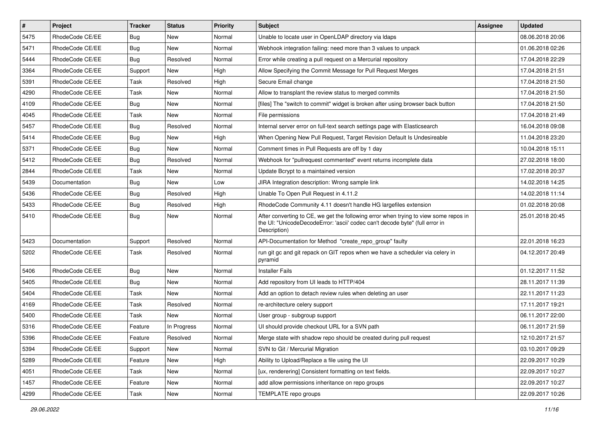| $\vert$ # | Project         | <b>Tracker</b> | <b>Status</b> | Priority | <b>Subject</b>                                                                                                                                                                       | <b>Assignee</b> | <b>Updated</b>   |
|-----------|-----------------|----------------|---------------|----------|--------------------------------------------------------------------------------------------------------------------------------------------------------------------------------------|-----------------|------------------|
| 5475      | RhodeCode CE/EE | Bug            | New           | Normal   | Unable to locate user in OpenLDAP directory via Idaps                                                                                                                                |                 | 08.06.2018 20:06 |
| 5471      | RhodeCode CE/EE | Bug            | <b>New</b>    | Normal   | Webhook integration failing: need more than 3 values to unpack                                                                                                                       |                 | 01.06.2018 02:26 |
| 5444      | RhodeCode CE/EE | <b>Bug</b>     | Resolved      | Normal   | Error while creating a pull request on a Mercurial repository                                                                                                                        |                 | 17.04.2018 22:29 |
| 3364      | RhodeCode CE/EE | Support        | <b>New</b>    | High     | Allow Specifying the Commit Message for Pull Request Merges                                                                                                                          |                 | 17.04.2018 21:51 |
| 5391      | RhodeCode CE/EE | Task           | Resolved      | High     | Secure Email change                                                                                                                                                                  |                 | 17.04.2018 21:50 |
| 4290      | RhodeCode CE/EE | Task           | <b>New</b>    | Normal   | Allow to transplant the review status to merged commits                                                                                                                              |                 | 17.04.2018 21:50 |
| 4109      | RhodeCode CE/EE | Bug            | <b>New</b>    | Normal   | [files] The "switch to commit" widget is broken after using browser back button                                                                                                      |                 | 17.04.2018 21:50 |
| 4045      | RhodeCode CE/EE | Task           | New           | Normal   | File permissions                                                                                                                                                                     |                 | 17.04.2018 21:49 |
| 5457      | RhodeCode CE/EE | Bug            | Resolved      | Normal   | Internal server error on full-text search settings page with Elasticsearch                                                                                                           |                 | 16.04.2018 09:08 |
| 5414      | RhodeCode CE/EE | Bug            | New           | High     | When Opening New Pull Request, Target Revision Default Is Undesireable                                                                                                               |                 | 11.04.2018 23:20 |
| 5371      | RhodeCode CE/EE | Bug            | New           | Normal   | Comment times in Pull Requests are off by 1 day                                                                                                                                      |                 | 10.04.2018 15:11 |
| 5412      | RhodeCode CE/EE | Bug            | Resolved      | Normal   | Webhook for "pullrequest commented" event returns incomplete data                                                                                                                    |                 | 27.02.2018 18:00 |
| 2844      | RhodeCode CE/EE | Task           | <b>New</b>    | Normal   | Update Bcrypt to a maintained version                                                                                                                                                |                 | 17.02.2018 20:37 |
| 5439      | Documentation   | <b>Bug</b>     | New           | Low      | JIRA Integration description: Wrong sample link                                                                                                                                      |                 | 14.02.2018 14:25 |
| 5436      | RhodeCode CE/EE | <b>Bug</b>     | Resolved      | High     | Unable To Open Pull Request in 4.11.2                                                                                                                                                |                 | 14.02.2018 11:14 |
| 5433      | RhodeCode CE/EE | Bug            | Resolved      | High     | RhodeCode Community 4.11 doesn't handle HG largefiles extension                                                                                                                      |                 | 01.02.2018 20:08 |
| 5410      | RhodeCode CE/EE | Bug            | New           | Normal   | After converting to CE, we get the following error when trying to view some repos in<br>the UI: "UnicodeDecodeError: 'ascii' codec can't decode byte" (full error in<br>Description) |                 | 25.01.2018 20:45 |
| 5423      | Documentation   | Support        | Resolved      | Normal   | API-Documentation for Method "create_repo_group" faulty                                                                                                                              |                 | 22.01.2018 16:23 |
| 5202      | RhodeCode CE/EE | Task           | Resolved      | Normal   | run git gc and git repack on GIT repos when we have a scheduler via celery in<br>pyramid                                                                                             |                 | 04.12.2017 20:49 |
| 5406      | RhodeCode CE/EE | Bug            | <b>New</b>    | Normal   | <b>Installer Fails</b>                                                                                                                                                               |                 | 01.12.2017 11:52 |
| 5405      | RhodeCode CE/EE | Bug            | New           | Normal   | Add repository from UI leads to HTTP/404                                                                                                                                             |                 | 28.11.2017 11:39 |
| 5404      | RhodeCode CE/EE | Task           | <b>New</b>    | Normal   | Add an option to detach review rules when deleting an user                                                                                                                           |                 | 22.11.2017 11:23 |
| 4169      | RhodeCode CE/EE | Task           | Resolved      | Normal   | re-architecture celery support                                                                                                                                                       |                 | 17.11.2017 19:21 |
| 5400      | RhodeCode CE/EE | Task           | New           | Normal   | User group - subgroup support                                                                                                                                                        |                 | 06.11.2017 22:00 |
| 5316      | RhodeCode CE/EE | Feature        | In Progress   | Normal   | UI should provide checkout URL for a SVN path                                                                                                                                        |                 | 06.11.2017 21:59 |
| 5396      | RhodeCode CE/EE | Feature        | Resolved      | Normal   | Merge state with shadow repo should be created during pull request                                                                                                                   |                 | 12.10.2017 21:57 |
| 5394      | RhodeCode CE/EE | Support        | New           | Normal   | SVN to Git / Mercurial Migration                                                                                                                                                     |                 | 03.10.2017 09:29 |
| 5289      | RhodeCode CE/EE | Feature        | New           | High     | Ability to Upload/Replace a file using the UI                                                                                                                                        |                 | 22.09.2017 10:29 |
| 4051      | RhodeCode CE/EE | Task           | New           | Normal   | [ux, renderering] Consistent formatting on text fields.                                                                                                                              |                 | 22.09.2017 10:27 |
| 1457      | RhodeCode CE/EE | Feature        | New           | Normal   | add allow permissions inheritance on repo groups                                                                                                                                     |                 | 22.09.2017 10:27 |
| 4299      | RhodeCode CE/EE | Task           | New           | Normal   | TEMPLATE repo groups                                                                                                                                                                 |                 | 22.09.2017 10:26 |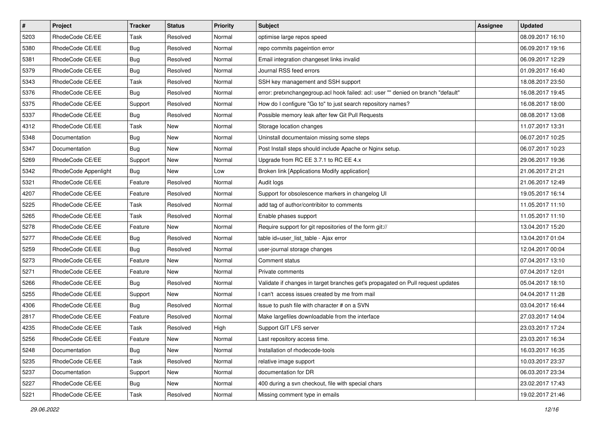| $\pmb{\#}$ | Project              | <b>Tracker</b> | <b>Status</b> | Priority | Subject                                                                           | Assignee | <b>Updated</b>   |
|------------|----------------------|----------------|---------------|----------|-----------------------------------------------------------------------------------|----------|------------------|
| 5203       | RhodeCode CE/EE      | Task           | Resolved      | Normal   | optimise large repos speed                                                        |          | 08.09.2017 16:10 |
| 5380       | RhodeCode CE/EE      | Bug            | Resolved      | Normal   | repo commits pageintion error                                                     |          | 06.09.2017 19:16 |
| 5381       | RhodeCode CE/EE      | Bug            | Resolved      | Normal   | Email integration changeset links invalid                                         |          | 06.09.2017 12:29 |
| 5379       | RhodeCode CE/EE      | <b>Bug</b>     | Resolved      | Normal   | Journal RSS feed errors                                                           |          | 01.09.2017 16:40 |
| 5343       | RhodeCode CE/EE      | Task           | Resolved      | Normal   | SSH key management and SSH support                                                |          | 18.08.2017 23:50 |
| 5376       | RhodeCode CE/EE      | Bug            | Resolved      | Normal   | error: pretxnchangegroup.acl hook failed: acl: user "" denied on branch "default" |          | 16.08.2017 19:45 |
| 5375       | RhodeCode CE/EE      | Support        | Resolved      | Normal   | How do I configure "Go to" to just search repository names?                       |          | 16.08.2017 18:00 |
| 5337       | RhodeCode CE/EE      | Bug            | Resolved      | Normal   | Possible memory leak after few Git Pull Requests                                  |          | 08.08.2017 13:08 |
| 4312       | RhodeCode CE/EE      | Task           | New           | Normal   | Storage location changes                                                          |          | 11.07.2017 13:31 |
| 5348       | Documentation        | <b>Bug</b>     | <b>New</b>    | Normal   | Uninstall documentaion missing some steps                                         |          | 06.07.2017 10:25 |
| 5347       | Documentation        | Bug            | New           | Normal   | Post Install steps should include Apache or Nginx setup.                          |          | 06.07.2017 10:23 |
| 5269       | RhodeCode CE/EE      | Support        | New           | Normal   | Upgrade from RC EE 3.7.1 to RC EE 4.x                                             |          | 29.06.2017 19:36 |
| 5342       | RhodeCode Appenlight | Bug            | <b>New</b>    | Low      | Broken link [Applications Modify application]                                     |          | 21.06.2017 21:21 |
| 5321       | RhodeCode CE/EE      | Feature        | Resolved      | Normal   | Audit logs                                                                        |          | 21.06.2017 12:49 |
| 4207       | RhodeCode CE/EE      | Feature        | Resolved      | Normal   | Support for obsolescence markers in changelog UI                                  |          | 19.05.2017 16:14 |
| 5225       | RhodeCode CE/EE      | Task           | Resolved      | Normal   | add tag of author/contribitor to comments                                         |          | 11.05.2017 11:10 |
| 5265       | RhodeCode CE/EE      | Task           | Resolved      | Normal   | Enable phases support                                                             |          | 11.05.2017 11:10 |
| 5278       | RhodeCode CE/EE      | Feature        | <b>New</b>    | Normal   | Require support for git repositories of the form git://                           |          | 13.04.2017 15:20 |
| 5277       | RhodeCode CE/EE      | <b>Bug</b>     | Resolved      | Normal   | table id=user_list_table - Ajax error                                             |          | 13.04.2017 01:04 |
| 5259       | RhodeCode CE/EE      | Bug            | Resolved      | Normal   | user-journal storage changes                                                      |          | 12.04.2017 00:04 |
| 5273       | RhodeCode CE/EE      | Feature        | New           | Normal   | Comment status                                                                    |          | 07.04.2017 13:10 |
| 5271       | RhodeCode CE/EE      | Feature        | New           | Normal   | Private comments                                                                  |          | 07.04.2017 12:01 |
| 5266       | RhodeCode CE/EE      | Bug            | Resolved      | Normal   | Validate if changes in target branches get's propagated on Pull request updates   |          | 05.04.2017 18:10 |
| 5255       | RhodeCode CE/EE      | Support        | New           | Normal   | I can't access issues created by me from mail                                     |          | 04.04.2017 11:28 |
| 4306       | RhodeCode CE/EE      | <b>Bug</b>     | Resolved      | Normal   | Issue to push file with character # on a SVN                                      |          | 03.04.2017 16:44 |
| 2817       | RhodeCode CE/EE      | Feature        | Resolved      | Normal   | Make largefiles downloadable from the interface                                   |          | 27.03.2017 14:04 |
| 4235       | RhodeCode CE/EE      | Task           | Resolved      | High     | Support GIT LFS server                                                            |          | 23.03.2017 17:24 |
| 5256       | RhodeCode CE/EE      | Feature        | New           | Normal   | Last repository access time.                                                      |          | 23.03.2017 16:34 |
| 5248       | Documentation        | Bug            | New           | Normal   | Installation of rhodecode-tools                                                   |          | 16.03.2017 16:35 |
| 5235       | RhodeCode CE/EE      | Task           | Resolved      | Normal   | relative image support                                                            |          | 10.03.2017 23:37 |
| 5237       | Documentation        | Support        | New           | Normal   | documentation for DR                                                              |          | 06.03.2017 23:34 |
| 5227       | RhodeCode CE/EE      | Bug            | New           | Normal   | 400 during a svn checkout, file with special chars                                |          | 23.02.2017 17:43 |
| 5221       | RhodeCode CE/EE      | Task           | Resolved      | Normal   | Missing comment type in emails                                                    |          | 19.02.2017 21:46 |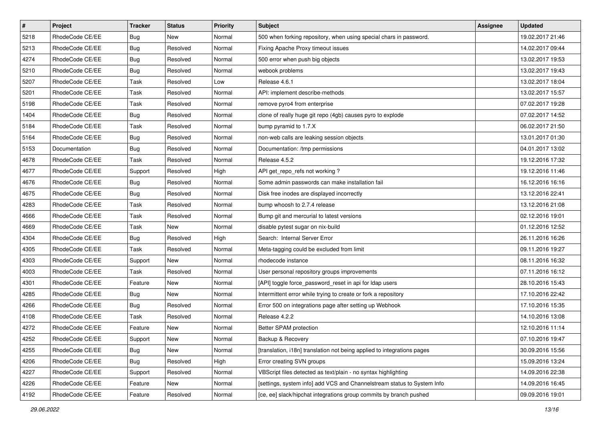| $\pmb{\#}$ | Project         | <b>Tracker</b> | <b>Status</b> | Priority | <b>Subject</b>                                                          | <b>Assignee</b> | <b>Updated</b>   |
|------------|-----------------|----------------|---------------|----------|-------------------------------------------------------------------------|-----------------|------------------|
| 5218       | RhodeCode CE/EE | Bug            | New           | Normal   | 500 when forking repository, when using special chars in password.      |                 | 19.02.2017 21:46 |
| 5213       | RhodeCode CE/EE | Bug            | Resolved      | Normal   | Fixing Apache Proxy timeout issues                                      |                 | 14.02.2017 09:44 |
| 4274       | RhodeCode CE/EE | <b>Bug</b>     | Resolved      | Normal   | 500 error when push big objects                                         |                 | 13.02.2017 19:53 |
| 5210       | RhodeCode CE/EE | Bug            | Resolved      | Normal   | webook problems                                                         |                 | 13.02.2017 19:43 |
| 5207       | RhodeCode CE/EE | Task           | Resolved      | Low      | Release 4.6.1                                                           |                 | 13.02.2017 18:04 |
| 5201       | RhodeCode CE/EE | Task           | Resolved      | Normal   | API: implement describe-methods                                         |                 | 13.02.2017 15:57 |
| 5198       | RhodeCode CE/EE | Task           | Resolved      | Normal   | remove pyro4 from enterprise                                            |                 | 07.02.2017 19:28 |
| 1404       | RhodeCode CE/EE | <b>Bug</b>     | Resolved      | Normal   | clone of really huge git repo (4gb) causes pyro to explode              |                 | 07.02.2017 14:52 |
| 5184       | RhodeCode CE/EE | Task           | Resolved      | Normal   | bump pyramid to 1.7.X                                                   |                 | 06.02.2017 21:50 |
| 5164       | RhodeCode CE/EE | Bug            | Resolved      | Normal   | non-web calls are leaking session objects                               |                 | 13.01.2017 01:30 |
| 5153       | Documentation   | Bug            | Resolved      | Normal   | Documentation: /tmp permissions                                         |                 | 04.01.2017 13:02 |
| 4678       | RhodeCode CE/EE | Task           | Resolved      | Normal   | Release 4.5.2                                                           |                 | 19.12.2016 17:32 |
| 4677       | RhodeCode CE/EE | Support        | Resolved      | High     | API get_repo_refs not working?                                          |                 | 19.12.2016 11:46 |
| 4676       | RhodeCode CE/EE | Bug            | Resolved      | Normal   | Some admin passwords can make installation fail                         |                 | 16.12.2016 16:16 |
| 4675       | RhodeCode CE/EE | Bug            | Resolved      | Normal   | Disk free inodes are displayed incorrectly                              |                 | 13.12.2016 22:41 |
| 4283       | RhodeCode CE/EE | Task           | Resolved      | Normal   | bump whoosh to 2.7.4 release                                            |                 | 13.12.2016 21:08 |
| 4666       | RhodeCode CE/EE | Task           | Resolved      | Normal   | Bump git and mercurial to latest versions                               |                 | 02.12.2016 19:01 |
| 4669       | RhodeCode CE/EE | Task           | <b>New</b>    | Normal   | disable pytest sugar on nix-build                                       |                 | 01.12.2016 12:52 |
| 4304       | RhodeCode CE/EE | Bug            | Resolved      | High     | Search: Internal Server Error                                           |                 | 26.11.2016 16:26 |
| 4305       | RhodeCode CE/EE | Task           | Resolved      | Normal   | Meta-tagging could be excluded from limit                               |                 | 09.11.2016 19:27 |
| 4303       | RhodeCode CE/EE | Support        | <b>New</b>    | Normal   | rhodecode instance                                                      |                 | 08.11.2016 16:32 |
| 4003       | RhodeCode CE/EE | Task           | Resolved      | Normal   | User personal repository groups improvements                            |                 | 07.11.2016 16:12 |
| 4301       | RhodeCode CE/EE | Feature        | <b>New</b>    | Normal   | [API] toggle force_password_reset in api for Idap users                 |                 | 28.10.2016 15:43 |
| 4285       | RhodeCode CE/EE | <b>Bug</b>     | <b>New</b>    | Normal   | Intermittent error while trying to create or fork a repository          |                 | 17.10.2016 22:42 |
| 4266       | RhodeCode CE/EE | Bug            | Resolved      | Normal   | Error 500 on integrations page after setting up Webhook                 |                 | 17.10.2016 15:35 |
| 4108       | RhodeCode CE/EE | Task           | Resolved      | Normal   | Release 4.2.2                                                           |                 | 14.10.2016 13:08 |
| 4272       | RhodeCode CE/EE | Feature        | New           | Normal   | Better SPAM protection                                                  |                 | 12.10.2016 11:14 |
| 4252       | RhodeCode CE/EE | Support        | New           | Normal   | Backup & Recovery                                                       |                 | 07.10.2016 19:47 |
| 4255       | RhodeCode CE/EE | Bug            | New           | Normal   | [translation, i18n] translation not being applied to integrations pages |                 | 30.09.2016 15:56 |
| 4206       | RhodeCode CE/EE | <b>Bug</b>     | Resolved      | High     | Error creating SVN groups                                               |                 | 15.09.2016 13:24 |
| 4227       | RhodeCode CE/EE | Support        | Resolved      | Normal   | VBScript files detected as text/plain - no syntax highlighting          |                 | 14.09.2016 22:38 |
| 4226       | RhodeCode CE/EE | Feature        | New           | Normal   | [settings, system info] add VCS and Channelstream status to System Info |                 | 14.09.2016 16:45 |
| 4192       | RhodeCode CE/EE | Feature        | Resolved      | Normal   | [ce, ee] slack/hipchat integrations group commits by branch pushed      |                 | 09.09.2016 19:01 |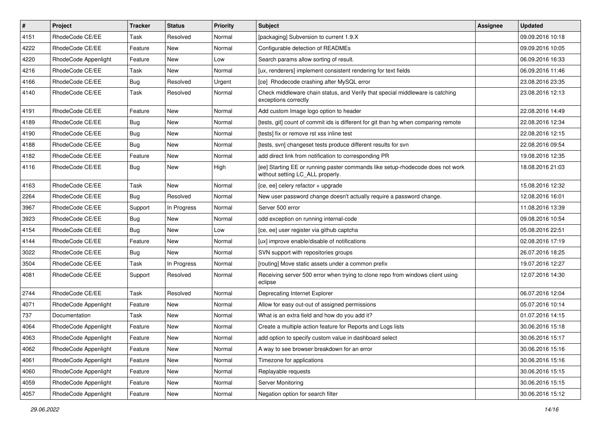| $\pmb{\#}$ | Project              | <b>Tracker</b> | <b>Status</b> | <b>Priority</b> | Subject                                                                                                            | Assignee | <b>Updated</b>   |
|------------|----------------------|----------------|---------------|-----------------|--------------------------------------------------------------------------------------------------------------------|----------|------------------|
| 4151       | RhodeCode CE/EE      | Task           | Resolved      | Normal          | [packaging] Subversion to current 1.9.X                                                                            |          | 09.09.2016 10:18 |
| 4222       | RhodeCode CE/EE      | Feature        | <b>New</b>    | Normal          | Configurable detection of READMEs                                                                                  |          | 09.09.2016 10:05 |
| 4220       | RhodeCode Appenlight | Feature        | New           | Low             | Search params allow sorting of result.                                                                             |          | 06.09.2016 16:33 |
| 4216       | RhodeCode CE/EE      | Task           | New           | Normal          | [ux, renderers] implement consistent rendering for text fields                                                     |          | 06.09.2016 11:46 |
| 4166       | RhodeCode CE/EE      | Bug            | Resolved      | Urgent          | [ce] Rhodecode crashing after MySQL error                                                                          |          | 23.08.2016 23:35 |
| 4140       | RhodeCode CE/EE      | Task           | Resolved      | Normal          | Check middleware chain status, and Verify that special middleware is catching<br>exceptions correctly              |          | 23.08.2016 12:13 |
| 4191       | RhodeCode CE/EE      | Feature        | <b>New</b>    | Normal          | Add custom Image logo option to header                                                                             |          | 22.08.2016 14:49 |
| 4189       | RhodeCode CE/EE      | <b>Bug</b>     | New           | Normal          | [tests, git] count of commit ids is different for git than hg when comparing remote                                |          | 22.08.2016 12:34 |
| 4190       | RhodeCode CE/EE      | Bug            | New           | Normal          | [tests] fix or remove rst xss inline test                                                                          |          | 22.08.2016 12:15 |
| 4188       | RhodeCode CE/EE      | <b>Bug</b>     | New           | Normal          | [tests, svn] changeset tests produce different results for svn                                                     |          | 22.08.2016 09:54 |
| 4182       | RhodeCode CE/EE      | Feature        | New           | Normal          | add direct link from notification to corresponding PR                                                              |          | 19.08.2016 12:35 |
| 4116       | RhodeCode CE/EE      | Bug            | New           | High            | [ee] Starting EE or running paster commands like setup-rhodecode does not work<br>without setting LC_ALL properly. |          | 18.08.2016 21:03 |
| 4163       | RhodeCode CE/EE      | Task           | <b>New</b>    | Normal          | [ce, ee] celery refactor + upgrade                                                                                 |          | 15.08.2016 12:32 |
| 2264       | RhodeCode CE/EE      | Bug            | Resolved      | Normal          | New user password change doesn't actually require a password change.                                               |          | 12.08.2016 16:01 |
| 3967       | RhodeCode CE/EE      | Support        | In Progress   | Normal          | Server 500 error                                                                                                   |          | 11.08.2016 13:39 |
| 3923       | RhodeCode CE/EE      | Bug            | <b>New</b>    | Normal          | odd exception on running internal-code                                                                             |          | 09.08.2016 10:54 |
| 4154       | RhodeCode CE/EE      | <b>Bug</b>     | New           | Low             | [ce, ee] user register via github captcha                                                                          |          | 05.08.2016 22:51 |
| 4144       | RhodeCode CE/EE      | Feature        | New           | Normal          | [ux] improve enable/disable of notifications                                                                       |          | 02.08.2016 17:19 |
| 3022       | RhodeCode CE/EE      | <b>Bug</b>     | <b>New</b>    | Normal          | SVN support with repositories groups                                                                               |          | 26.07.2016 18:25 |
| 3504       | RhodeCode CE/EE      | Task           | In Progress   | Normal          | [routing] Move static assets under a common prefix                                                                 |          | 19.07.2016 12:27 |
| 4081       | RhodeCode CE/EE      | Support        | Resolved      | Normal          | Receiving server 500 error when trying to clone repo from windows client using<br>eclipse                          |          | 12.07.2016 14:30 |
| 2744       | RhodeCode CE/EE      | Task           | Resolved      | Normal          | Deprecating Internet Explorer                                                                                      |          | 06.07.2016 12:04 |
| 4071       | RhodeCode Appenlight | Feature        | <b>New</b>    | Normal          | Allow for easy out-out of assigned permissions                                                                     |          | 05.07.2016 10:14 |
| 737        | Documentation        | Task           | New           | Normal          | What is an extra field and how do you add it?                                                                      |          | 01.07.2016 14:15 |
| 4064       | RhodeCode Appenlight | Feature        | New           | Normal          | Create a multiple action feature for Reports and Logs lists                                                        |          | 30.06.2016 15:18 |
| 4063       | RhodeCode Appenlight | Feature        | New           | Normal          | add option to specify custom value in dashboard select                                                             |          | 30.06.2016 15:17 |
| 4062       | RhodeCode Appenlight | Feature        | New           | Normal          | A way to see browser breakdown for an error                                                                        |          | 30.06.2016 15:16 |
| 4061       | RhodeCode Appenlight | Feature        | New           | Normal          | Timezone for applications                                                                                          |          | 30.06.2016 15:16 |
| 4060       | RhodeCode Appenlight | Feature        | New           | Normal          | Replayable requests                                                                                                |          | 30.06.2016 15:15 |
| 4059       | RhodeCode Appenlight | Feature        | New           | Normal          | Server Monitoring                                                                                                  |          | 30.06.2016 15:15 |
| 4057       | RhodeCode Appenlight | Feature        | New           | Normal          | Negation option for search filter                                                                                  |          | 30.06.2016 15:12 |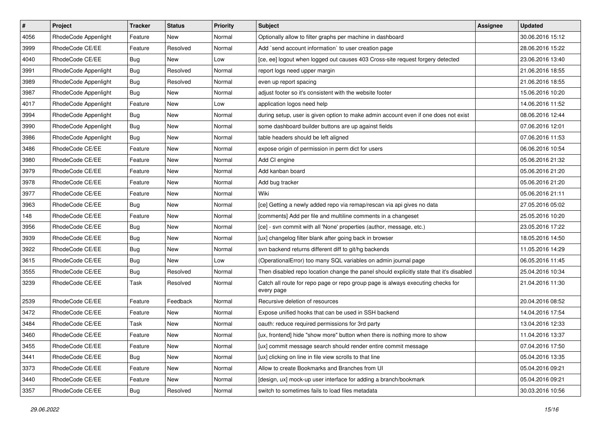| $\vert$ # | Project              | <b>Tracker</b> | <b>Status</b> | <b>Priority</b> | Subject                                                                                       | <b>Assignee</b> | <b>Updated</b>   |
|-----------|----------------------|----------------|---------------|-----------------|-----------------------------------------------------------------------------------------------|-----------------|------------------|
| 4056      | RhodeCode Appenlight | Feature        | New           | Normal          | Optionally allow to filter graphs per machine in dashboard                                    |                 | 30.06.2016 15:12 |
| 3999      | RhodeCode CE/EE      | Feature        | Resolved      | Normal          | Add `send account information` to user creation page                                          |                 | 28.06.2016 15:22 |
| 4040      | RhodeCode CE/EE      | Bug            | New           | Low             | [ce, ee] logout when logged out causes 403 Cross-site request forgery detected                |                 | 23.06.2016 13:40 |
| 3991      | RhodeCode Appenlight | <b>Bug</b>     | Resolved      | Normal          | report logs need upper margin                                                                 |                 | 21.06.2016 18:55 |
| 3989      | RhodeCode Appenlight | Bug            | Resolved      | Normal          | even up report spacing                                                                        |                 | 21.06.2016 18:55 |
| 3987      | RhodeCode Appenlight | Bug            | New           | Normal          | adjust footer so it's consistent with the website footer                                      |                 | 15.06.2016 10:20 |
| 4017      | RhodeCode Appenlight | Feature        | New           | Low             | application logos need help                                                                   |                 | 14.06.2016 11:52 |
| 3994      | RhodeCode Appenlight | Bug            | New           | Normal          | during setup, user is given option to make admin account even if one does not exist           |                 | 08.06.2016 12:44 |
| 3990      | RhodeCode Appenlight | Bug            | New           | Normal          | some dashboard builder buttons are up against fields                                          |                 | 07.06.2016 12:01 |
| 3986      | RhodeCode Appenlight | Bug            | New           | Normal          | table headers should be left aligned                                                          |                 | 07.06.2016 11:53 |
| 3486      | RhodeCode CE/EE      | Feature        | New           | Normal          | expose origin of permission in perm dict for users                                            |                 | 06.06.2016 10:54 |
| 3980      | RhodeCode CE/EE      | Feature        | New           | Normal          | Add CI engine                                                                                 |                 | 05.06.2016 21:32 |
| 3979      | RhodeCode CE/EE      | Feature        | New           | Normal          | Add kanban board                                                                              |                 | 05.06.2016 21:20 |
| 3978      | RhodeCode CE/EE      | Feature        | New           | Normal          | Add bug tracker                                                                               |                 | 05.06.2016 21:20 |
| 3977      | RhodeCode CE/EE      | Feature        | New           | Normal          | Wiki                                                                                          |                 | 05.06.2016 21:11 |
| 3963      | RhodeCode CE/EE      | <b>Bug</b>     | New           | Normal          | [ce] Getting a newly added repo via remap/rescan via api gives no data                        |                 | 27.05.2016 05:02 |
| 148       | RhodeCode CE/EE      | Feature        | New           | Normal          | [comments] Add per file and multiline comments in a changeset                                 |                 | 25.05.2016 10:20 |
| 3956      | RhodeCode CE/EE      | <b>Bug</b>     | New           | Normal          | [ce] - svn commit with all 'None' properties (author, message, etc.)                          |                 | 23.05.2016 17:22 |
| 3939      | RhodeCode CE/EE      | <b>Bug</b>     | New           | Normal          | [ux] changelog filter blank after going back in browser                                       |                 | 18.05.2016 14:50 |
| 3922      | RhodeCode CE/EE      | Bug            | New           | Normal          | svn backend returns different diff to git/hg backends                                         |                 | 11.05.2016 14:29 |
| 3615      | RhodeCode CE/EE      | Bug            | <b>New</b>    | Low             | (OperationalError) too many SQL variables on admin journal page                               |                 | 06.05.2016 11:45 |
| 3555      | RhodeCode CE/EE      | <b>Bug</b>     | Resolved      | Normal          | Then disabled repo location change the panel should explicitly state that it's disabled       |                 | 25.04.2016 10:34 |
| 3239      | RhodeCode CE/EE      | Task           | Resolved      | Normal          | Catch all route for repo page or repo group page is always executing checks for<br>every page |                 | 21.04.2016 11:30 |
| 2539      | RhodeCode CE/EE      | Feature        | Feedback      | Normal          | Recursive deletion of resources                                                               |                 | 20.04.2016 08:52 |
| 3472      | RhodeCode CE/EE      | Feature        | New           | Normal          | Expose unified hooks that can be used in SSH backend                                          |                 | 14.04.2016 17:54 |
| 3484      | RhodeCode CE/EE      | Task           | New           | Normal          | oauth: reduce required permissions for 3rd party                                              |                 | 13.04.2016 12:33 |
| 3460      | RhodeCode CE/EE      | Feature        | New           | Normal          | [ux, frontend] hide "show more" button when there is nothing more to show                     |                 | 11.04.2016 13:37 |
| 3455      | RhodeCode CE/EE      | Feature        | New           | Normal          | [ux] commit message search should render entire commit message                                |                 | 07.04.2016 17:50 |
| 3441      | RhodeCode CE/EE      | Bug            | New           | Normal          | [ux] clicking on line in file view scrolls to that line                                       |                 | 05.04.2016 13:35 |
| 3373      | RhodeCode CE/EE      | Feature        | New           | Normal          | Allow to create Bookmarks and Branches from UI                                                |                 | 05.04.2016 09:21 |
| 3440      | RhodeCode CE/EE      | Feature        | New           | Normal          | [design, ux] mock-up user interface for adding a branch/bookmark                              |                 | 05.04.2016 09:21 |
| 3357      | RhodeCode CE/EE      | Bug            | Resolved      | Normal          | switch to sometimes fails to load files metadata                                              |                 | 30.03.2016 10:56 |